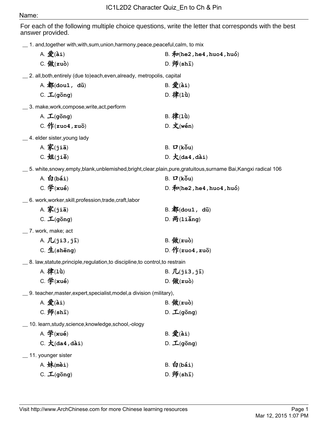## Name:

For each of the following multiple choice questions, write the letter that corresponds with the best answer provided.

A. 爱(ài) B. 和(he2, he4, huo4, huó)

\_\_ 1. and,together with,with,sum,union,harmony,peace,peaceful,calm, to mix

| $C.$ 做 $(zu$ ò)                                                                                             | $D. \,\mathbf{F}(\textbf{sh}\bar{\mathbf{I}})$                |
|-------------------------------------------------------------------------------------------------------------|---------------------------------------------------------------|
| _ 2. all,both,entirely (due to)each,even,already, metropolis, capital                                       |                                                               |
| A. 都(dou1, du)                                                                                              | $B.$ $\mathcal{L}(\tilde{a}i)$                                |
| $C. \perp (q\bar{o}ng)$                                                                                     | D. 律 $(1\mathbf{\hat{u}})$                                    |
| __ 3. make,work,compose,write,act,perform                                                                   |                                                               |
| A. $\mathcal{L}$ (gong)                                                                                     | B. 律 $(1\mathbf{\hat{u}})$                                    |
| C. $\sqrt{F(zuo4, zu\bar{o})}$                                                                              | $D.$ 文(wén)                                                   |
| _4. elder sister, young lady                                                                                |                                                               |
| $A.$ 家(jiā)                                                                                                 | B. $\mathbf{D}$ (kou)                                         |
| $C. \nexists \mathbf{H}(\mathtt{ji}\mathbf{e})$                                                             | $D. \nmid (da4, da1)$                                         |
| __ 5. white,snowy,empty,blank,unblemished,bright,clear,plain,pure,gratuitous,surname Bai,Kangxi radical 106 |                                                               |
| $A.$ 白(bái)                                                                                                 | B. $\mathbf{Z}$ (kou)                                         |
| $C.$ 学 $(xu$ é)                                                                                             | D. $\oint P(\text{he2}, \text{he4}, \text{hu04}, \text{hu6})$ |
| 6. work,worker,skill,profession,trade,craft,labor                                                           |                                                               |
| A. 家 $(jia)$                                                                                                | $B.$ 都(dou1, dū)                                              |
| $C. \perp (g\bar{o}ng)$                                                                                     | $D. \overline{p}$ (liǎng)                                     |
| __ 7. work, make; act                                                                                       |                                                               |
| A. $\mathcal{J}$ $(j$ i3, $j\overline{i})$                                                                  | $B.$ 做 $(zu\delta)$                                           |
| $C.$ $\pm$ (sheng)                                                                                          | D. $\sqrt{F(zuo4, zu5)}$                                      |
| $\_$ 8. law,statute,principle,regulation,to discipline,to control,to restrain                               |                                                               |
| A. 律 $(1\mathbf{\hat{u}})$                                                                                  | B. $\vec{J}L(ji3, j\bar{i})$                                  |
| $C.$ 学 $(xu$ é)                                                                                             | D. $M(zu\delta)$                                              |
| __ 9.                teacher,master,expert,specialist,model,a division (military),                          |                                                               |
| A. 发(ài)                                                                                                    | $B.$ 做 $(zuo)$                                                |
| $C.$ 师 $(sh\bar{1})$                                                                                        | $D.$ $\mathcal{L}(g\bar{o}ng)$                                |
| 10. learn, study, science, knowledge, school,-ology                                                         |                                                               |
| A. 学 $(xu\acute{e})$                                                                                        | $B.$ 爱 $(\lambda i)$                                          |
| C. $\mathcal{K}$ (da4, dài)                                                                                 | $D. \perp(g\bar{o}ng)$                                        |
| 11. younger sister                                                                                          |                                                               |
| $A.$ 妹(mèi)                                                                                                 | $B.$ 白(bái)                                                   |
| $C.$ $\mathcal{L}(g\bar{o}ng)$                                                                              | $D. \overline{W}(\text{sh}\bar{1})$                           |
|                                                                                                             |                                                               |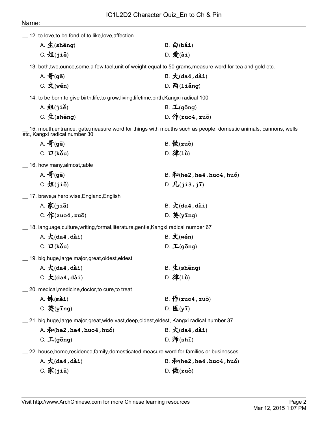## Name:

|  | 12. to love, to be fond of, to like, love, affection |
|--|------------------------------------------------------|
|--|------------------------------------------------------|

| A. $\pm$ (shēng)          | $B.$ 白(bái) |
|---------------------------|-------------|
| $C. \nexists A(ji\delta)$ | $D.$ 爱(ài)  |

\_\_ 13. both,two,ounce,some,a few,tael,unit of weight equal to 50 grams,measure word for tea and gold etc.

| A. 哥(gē)    | B. $\pm$ (da4, dài)       |
|-------------|---------------------------|
| $C.$ 文(wén) | $D. \overline{m}(1$ iǎng) |

\_\_ 14. to be born,to give birth,life,to grow,living,lifetime,birth,Kangxi radical 100

| A. 姐(jiě)        | $B. \perp(g\bar{o}ng)$   |
|------------------|--------------------------|
| C. $\pm$ (shēng) | D. $\sqrt{F(zuo4, zu5)}$ |

15. mouth,entrance, gate,measure word for things with mouths such as people, domestic animals, cannons, wells etc, Kangxi radical number 30

| A. $\overline{\mathbf{F}}$ (gē)  | $B.$ 做 $(zu\delta)$        |
|----------------------------------|----------------------------|
| C. $\mathbf{Z}$ (kou)            | D. 律 $(1\mathbf{\hat{u}})$ |
| $\_$ 16. how many, almost, table |                            |
| $\overline{m}$ $\overline{m}$    | . 1.,                      |

| A. 哥(gē)        | B. $\oint P(\text{he2}, \text{he4}, \text{hu04}, \text{hu6})$ |
|-----------------|---------------------------------------------------------------|
| $C.$ 姐 $(j$ iě) | D. $\sqrt{L(ji3, j\bar{i})}$                                  |

\_\_ 17. brave,a hero;wise,England,English

| A. 家(jiā)         | B. $\pm$ (da4, dài)                   |
|-------------------|---------------------------------------|
| $C.$ 作(zuo4, zuō) | D. $\mathbf{\ddot{X}}(\mathbf{ying})$ |

\_\_ 18. language,culture,writing,formal,literature,gentle,Kangxi radical number 67

| A. $\mathcal{K}$ (da4, dài) | $B. \times (wén)$                     |
|-----------------------------|---------------------------------------|
| C. $\mathbf{U}$ (kǒu)       | D. $\mathcal{L}(\mathsf{g\bar{o}ng})$ |

\_\_ 19. big,huge,large,major,great,oldest,eldest

| A. $\bigstar$ (da4,dài)                                                                                         | $B.$ 生(shēng)     |
|-----------------------------------------------------------------------------------------------------------------|-------------------|
| C. $\bigstar$ (da4, dài)                                                                                        | D. 律 $(1\hat{u})$ |
| and a strike and a strike the strike and the strike and the strike and the strike and the strike and the strike |                   |

\_\_ 20. medical,medicine,doctor,to cure,to treat

| $A.$ 妹(mèi)                         | B. $\sqrt{f}$ (zuo4, zuō)                      |
|-------------------------------------|------------------------------------------------|
| C. $\mathbf{\ddot{X}}(\text{ying})$ | D. $\mathbf{\mathbf{K}}(\mathbf{y}\mathbf{I})$ |

\_\_ 21. big,huge,large,major,great,wide,vast,deep,oldest,eldest, Kangxi radical number 37

| A. $\bm{\hat{\pi}}$ (he2 , he4 , huo4 , huó) | B. $\pm$ (da4, dài)                                |
|----------------------------------------------|----------------------------------------------------|
| $C. \perp (g\bar{o}ng)$                      | D. $\mathbf{\bar{W}}(\texttt{sh}\bar{\texttt{i}})$ |

\_\_ 22. house,home,residence,family,domesticated,measure word for families or businesses

| A. $\mathcal{K}$ (da4, dài) | B. $\bar{\mathcal{P}}$ (he2, he4, huo4, huó) |
|-----------------------------|----------------------------------------------|
| $C.$ 家 $(jia)$              | D. $M(zuo)$                                  |